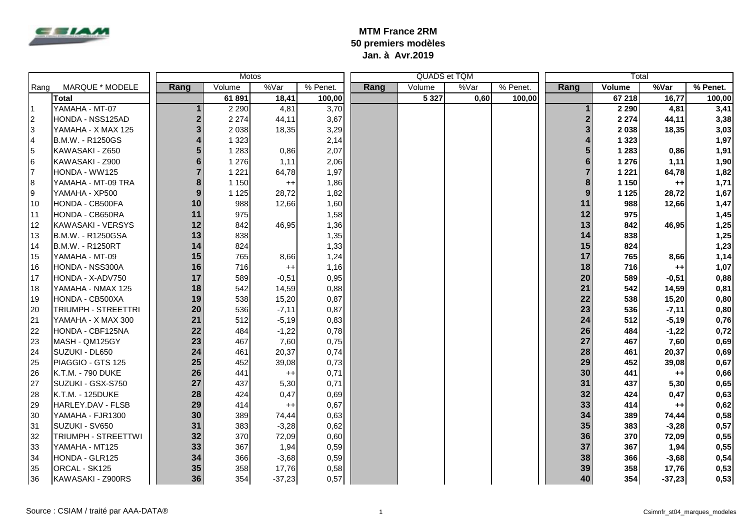

## **MTM France 2RM 50 premiers modèles Jan. à Avr.2019**

|                |                         | Motos          |         |          |          |      |         | QUADS et TQM |          | Total |               |          |          |
|----------------|-------------------------|----------------|---------|----------|----------|------|---------|--------------|----------|-------|---------------|----------|----------|
| Rang           | MARQUE * MODELE         | Rang           | Volume  | %Var     | % Penet. | Rang | Volume  | %Var         | % Penet. | Rang  | <b>Volume</b> | %Var     | % Penet. |
|                | Total                   |                | 61891   | 18,41    | 100,00   |      | 5 3 2 7 | 0,60         | 100,00   |       | 67 218        | 16,77    | 100,00   |
| <b>11</b>      | YAMAHA - MT-07          |                | 2 2 9 0 | 4,81     | 3,70     |      |         |              |          |       | 2 2 9 0       | 4,81     | 3,41     |
| $\overline{2}$ | HONDA - NSS125AD        | $\overline{2}$ | 2 2 7 4 | 44,11    | 3,67     |      |         |              |          |       | 2 2 7 4       | 44,11    | 3,38     |
| 3              | YAMAHA - X MAX 125      | 3              | 2 0 3 8 | 18,35    | 3,29     |      |         |              |          |       | 2038          | 18,35    | 3,03     |
| $\overline{4}$ | B.M.W. - R1250GS        |                | 1 3 2 3 |          | 2,14     |      |         |              |          |       | 1 3 2 3       |          | 1,97     |
| 5              | KAWASAKI - Z650         |                | 1 2 8 3 | 0,86     | 2,07     |      |         |              |          |       | 1 2 8 3       | 0,86     | 1,91     |
| 6              | KAWASAKI - Z900         | 6              | 1 2 7 6 | 1,11     | 2,06     |      |         |              |          |       | 1 2 7 6       | 1,11     | 1,90     |
| 17             | HONDA - WW125           |                | 1 2 2 1 | 64,78    | 1,97     |      |         |              |          |       | 1 2 2 1       | 64,78    | 1,82     |
| 8              | YAMAHA - MT-09 TRA      | 8              | 1 1 5 0 | $^{++}$  | 1,86     |      |         |              |          |       | 1 1 5 0       | $^{++}$  | 1,71     |
| l9             | YAMAHA - XP500          | 9              | 1 1 2 5 | 28,72    | 1,82     |      |         |              |          | 9     | 1 1 2 5       | 28,72    | 1,67     |
| 10             | HONDA - CB500FA         | 10             | 988     | 12,66    | 1,60     |      |         |              |          | 11    | 988           | 12,66    | 1,47     |
| 11             | HONDA - CB650RA         | 11             | 975     |          | 1,58     |      |         |              |          | 12    | 975           |          | 1,45     |
| 12             | KAWASAKI - VERSYS       | 12             | 842     | 46,95    | 1,36     |      |         |              |          | 13    | 842           | 46,95    | 1,25     |
| 13             | B.M.W. - R1250GSA       | 13             | 838     |          | 1,35     |      |         |              |          | 14    | 838           |          | 1,25     |
| 14             | <b>B.M.W. - R1250RT</b> | 14             | 824     |          | 1,33     |      |         |              |          | 15    | 824           |          | 1,23     |
| 15             | YAMAHA - MT-09          | 15             | 765     | 8,66     | 1,24     |      |         |              |          | 17    | 765           | 8,66     | 1,14     |
| 16             | HONDA - NSS300A         | 16             | 716     | $++$     | 1,16     |      |         |              |          | 18    | 716           | $^{++}$  | 1,07     |
| 17             | HONDA - X-ADV750        | 17             | 589     | $-0.51$  | 0,95     |      |         |              |          | 20    | 589           | $-0,51$  | 0,88     |
| 18             | YAMAHA - NMAX 125       | 18             | 542     | 14,59    | 0,88     |      |         |              |          | 21    | 542           | 14,59    | 0,81     |
| 19             | HONDA - CB500XA         | 19             | 538     | 15,20    | 0,87     |      |         |              |          | 22    | 538           | 15,20    | 0,80     |
| 20             | TRIUMPH - STREETTRI     | 20             | 536     | $-7,11$  | 0,87     |      |         |              |          | 23    | 536           | $-7,11$  | 0,80     |
| 21             | YAMAHA - X MAX 300      | 21             | 512     | $-5,19$  | 0,83     |      |         |              |          | 24    | 512           | $-5,19$  | 0,76     |
| 22             | HONDA - CBF125NA        | 22             | 484     | $-1,22$  | 0,78     |      |         |              |          | 26    | 484           | $-1,22$  | 0,72     |
| 23             | MASH - QM125GY          | 23             | 467     | 7,60     | 0,75     |      |         |              |          | 27    | 467           | 7,60     | 0,69     |
| 24             | SUZUKI - DL650          | 24             | 461     | 20,37    | 0,74     |      |         |              |          | 28    | 461           | 20,37    | 0,69     |
| 25             | PIAGGIO - GTS 125       | 25             | 452     | 39,08    | 0,73     |      |         |              |          | 29    | 452           | 39,08    | 0,67     |
| 26             | K.T.M. - 790 DUKE       | 26             | 441     | $^{++}$  | 0,71     |      |         |              |          | 30    | 441           | $^{++}$  | 0,66     |
| 27             | SUZUKI - GSX-S750       | 27             | 437     | 5,30     | 0,71     |      |         |              |          | 31    | 437           | 5,30     | 0,65     |
| 28             | K.T.M. - 125DUKE        | 28             | 424     | 0,47     | 0,69     |      |         |              |          | 32    | 424           | 0,47     | 0,63     |
| 29             | HARLEY.DAV - FLSB       | 29             | 414     | $^{++}$  | 0,67     |      |         |              |          | 33    | 414           | $^{++}$  | 0,62     |
| 30             | YAMAHA - FJR1300        | 30             | 389     | 74,44    | 0,63     |      |         |              |          | 34    | 389           | 74,44    | 0,58     |
| 31             | SUZUKI - SV650          | 31             | 383     | $-3,28$  | 0,62     |      |         |              |          | 35    | 383           | $-3,28$  | 0,57     |
| 32             | TRIUMPH - STREETTWI     | 32             | 370     | 72,09    | 0,60     |      |         |              |          | 36    | 370           | 72,09    | 0,55     |
| 33             | YAMAHA - MT125          | 33             | 367     | 1,94     | 0,59     |      |         |              |          | 37    | 367           | 1,94     | 0,55     |
| 34             | HONDA - GLR125          | 34             | 366     | $-3,68$  | 0,59     |      |         |              |          | 38    | 366           | $-3,68$  | 0,54     |
| 35             | ORCAL - SK125           | 35             | 358     | 17,76    | 0,58     |      |         |              |          | 39    | 358           | 17,76    | 0,53     |
| 36             | KAWASAKI - Z900RS       | 36             | 354     | $-37,23$ | 0,57     |      |         |              |          | 40    | 354           | $-37,23$ | 0,53     |